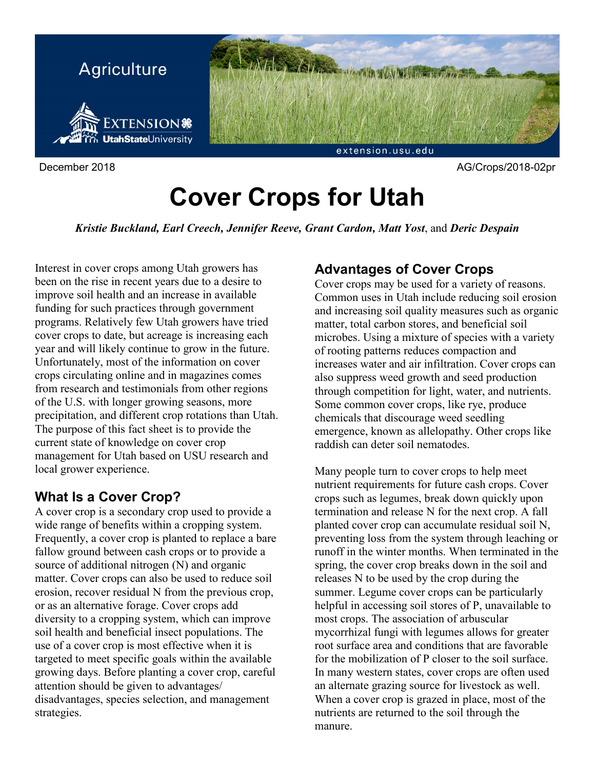

# **Cover Crops for Utah**

*Kristie Buckland, Earl Creech, Jennifer Reeve, Grant Cardon, Matt Yost*, and *Deric Despain*

Interest in cover crops among Utah growers has been on the rise in recent years due to a desire to improve soil health and an increase in available funding for such practices through government programs. Relatively few Utah growers have tried cover crops to date, but acreage is increasing each year and will likely continue to grow in the future. Unfortunately, most of the information on cover crops circulating online and in magazines comes from research and testimonials from other regions of the U.S. with longer growing seasons, more precipitation, and different crop rotations than Utah. The purpose of this fact sheet is to provide the current state of knowledge on cover crop management for Utah based on USU research and local grower experience.

## **What Is a Cover Crop?**

A cover crop is a secondary crop used to provide a wide range of benefits within a cropping system. Frequently, a cover crop is planted to replace a bare fallow ground between cash crops or to provide a source of additional nitrogen (N) and organic matter. Cover crops can also be used to reduce soil erosion, recover residual N from the previous crop, or as an alternative forage. Cover crops add diversity to a cropping system, which can improve soil health and beneficial insect populations. The use of a cover crop is most effective when it is targeted to meet specific goals within the available growing days. Before planting a cover crop, careful attention should be given to advantages/ disadvantages, species selection, and management strategies.

## **Advantages of Cover Crops**

Cover crops may be used for a variety of reasons. Common uses in Utah include reducing soil erosion and increasing soil quality measures such as organic matter, total carbon stores, and beneficial soil microbes. Using a mixture of species with a variety of rooting patterns reduces compaction and increases water and air infiltration. Cover crops can also suppress weed growth and seed production through competition for light, water, and nutrients. Some common cover crops, like rye, produce chemicals that discourage weed seedling emergence, known as allelopathy. Other crops like raddish can deter soil nematodes.

Many people turn to cover crops to help meet nutrient requirements for future cash crops. Cover crops such as legumes, break down quickly upon termination and release N for the next crop. A fall planted cover crop can accumulate residual soil N, preventing loss from the system through leaching or runoff in the winter months. When terminated in the spring, the cover crop breaks down in the soil and releases N to be used by the crop during the summer. Legume cover crops can be particularly helpful in accessing soil stores of P, unavailable to most crops. The association of arbuscular mycorrhizal fungi with legumes allows for greater root surface area and conditions that are favorable for the mobilization of P closer to the soil surface. In many western states, cover crops are often used an alternate grazing source for livestock as well. When a cover crop is grazed in place, most of the nutrients are returned to the soil through the manure.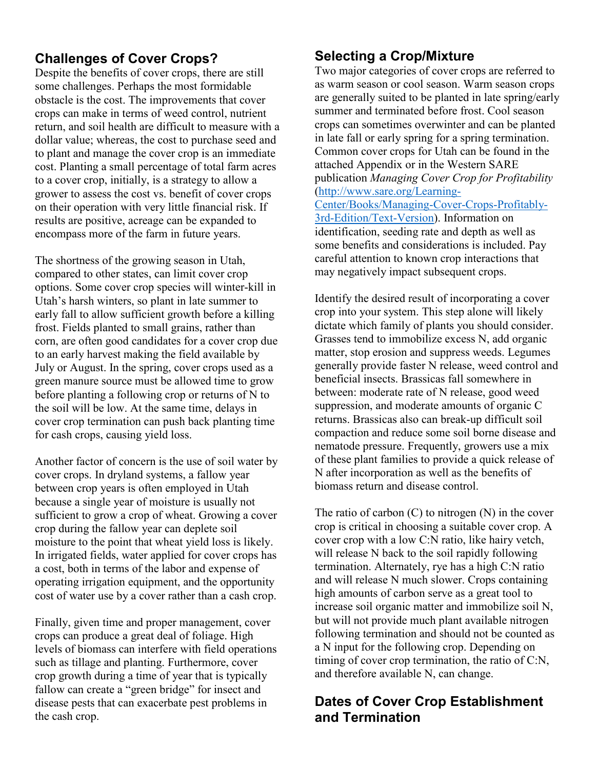## **Challenges of Cover Crops?**

Despite the benefits of cover crops, there are still some challenges. Perhaps the most formidable obstacle is the cost. The improvements that cover crops can make in terms of weed control, nutrient return, and soil health are difficult to measure with a dollar value; whereas, the cost to purchase seed and to plant and manage the cover crop is an immediate cost. Planting a small percentage of total farm acres to a cover crop, initially, is a strategy to allow a grower to assess the cost vs. benefit of cover crops on their operation with very little financial risk. If results are positive, acreage can be expanded to encompass more of the farm in future years.

The shortness of the growing season in Utah, compared to other states, can limit cover crop options. Some cover crop species will winter-kill in Utah's harsh winters, so plant in late summer to early fall to allow sufficient growth before a killing frost. Fields planted to small grains, rather than corn, are often good candidates for a cover crop due to an early harvest making the field available by July or August. In the spring, cover crops used as a green manure source must be allowed time to grow before planting a following crop or returns of N to the soil will be low. At the same time, delays in cover crop termination can push back planting time for cash crops, causing yield loss.

Another factor of concern is the use of soil water by cover crops. In dryland systems, a fallow year between crop years is often employed in Utah because a single year of moisture is usually not sufficient to grow a crop of wheat. Growing a cover crop during the fallow year can deplete soil moisture to the point that wheat yield loss is likely. In irrigated fields, water applied for cover crops has a cost, both in terms of the labor and expense of operating irrigation equipment, and the opportunity cost of water use by a cover rather than a cash crop.

Finally, given time and proper management, cover crops can produce a great deal of foliage. High levels of biomass can interfere with field operations such as tillage and planting. Furthermore, cover crop growth during a time of year that is typically fallow can create a "green bridge" for insect and disease pests that can exacerbate pest problems in the cash crop.

## **Selecting a Crop/Mixture**

Two major categories of cover crops are referred to as warm season or cool season. Warm season crops are generally suited to be planted in late spring/early summer and terminated before frost. Cool season crops can sometimes overwinter and can be planted in late fall or early spring for a spring termination. Common cover crops for Utah can be found in the attached Appendix or in the Western SARE publication *Managing Cover Crop for Profitability* [\(http://www.sare.org/Learning-](http://www.sare.org/Learning-Center/Books/Managing-Cover-Crops-Profitably-3rd-Edition/Text-Version)[Center/Books/Managing-Cover-Crops-Profitably-](http://www.sare.org/Learning-Center/Books/Managing-Cover-Crops-Profitably-3rd-Edition/Text-Version)[3rd-Edition/Text-Version\)](http://www.sare.org/Learning-Center/Books/Managing-Cover-Crops-Profitably-3rd-Edition/Text-Version). Information on identification, seeding rate and depth as well as some benefits and considerations is included. Pay careful attention to known crop interactions that may negatively impact subsequent crops.

Identify the desired result of incorporating a cover crop into your system. This step alone will likely dictate which family of plants you should consider. Grasses tend to immobilize excess N, add organic matter, stop erosion and suppress weeds. Legumes generally provide faster N release, weed control and beneficial insects. Brassicas fall somewhere in between: moderate rate of N release, good weed suppression, and moderate amounts of organic C returns. Brassicas also can break-up difficult soil compaction and reduce some soil borne disease and nematode pressure. Frequently, growers use a mix of these plant families to provide a quick release of N after incorporation as well as the benefits of biomass return and disease control.

The ratio of carbon  $(C)$  to nitrogen  $(N)$  in the cover crop is critical in choosing a suitable cover crop. A cover crop with a low C:N ratio, like hairy vetch, will release N back to the soil rapidly following termination. Alternately, rye has a high C:N ratio and will release N much slower. Crops containing high amounts of carbon serve as a great tool to increase soil organic matter and immobilize soil N, but will not provide much plant available nitrogen following termination and should not be counted as a N input for the following crop. Depending on timing of cover crop termination, the ratio of C:N, and therefore available N, can change.

### **Dates of Cover Crop Establishment and Termination**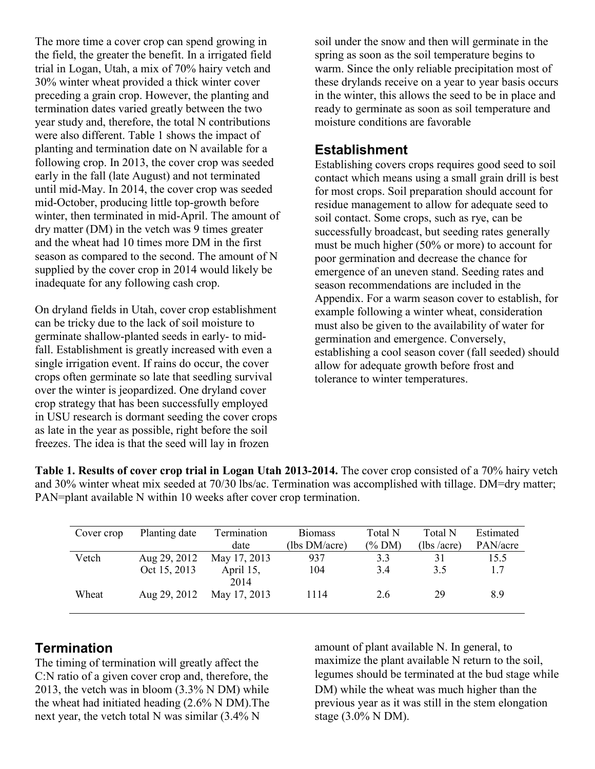The more time a cover crop can spend growing in the field, the greater the benefit. In a irrigated field trial in Logan, Utah, a mix of 70% hairy vetch and 30% winter wheat provided a thick winter cover preceding a grain crop. However, the planting and termination dates varied greatly between the two year study and, therefore, the total N contributions were also different. Table 1 shows the impact of planting and termination date on N available for a following crop. In 2013, the cover crop was seeded early in the fall (late August) and not terminated until mid-May. In 2014, the cover crop was seeded mid-October, producing little top-growth before winter, then terminated in mid-April. The amount of dry matter (DM) in the vetch was 9 times greater and the wheat had 10 times more DM in the first season as compared to the second. The amount of N supplied by the cover crop in 2014 would likely be inadequate for any following cash crop.

On dryland fields in Utah, cover crop establishment can be tricky due to the lack of soil moisture to germinate shallow-planted seeds in early- to midfall. Establishment is greatly increased with even a single irrigation event. If rains do occur, the cover crops often germinate so late that seedling survival over the winter is jeopardized. One dryland cover crop strategy that has been successfully employed in USU research is dormant seeding the cover crops as late in the year as possible, right before the soil freezes. The idea is that the seed will lay in frozen

soil under the snow and then will germinate in the spring as soon as the soil temperature begins to warm. Since the only reliable precipitation most of these drylands receive on a year to year basis occurs in the winter, this allows the seed to be in place and ready to germinate as soon as soil temperature and moisture conditions are favorable

#### **Establishment**

Establishing covers crops requires good seed to soil contact which means using a small grain drill is best for most crops. Soil preparation should account for residue management to allow for adequate seed to soil contact. Some crops, such as rye, can be successfully broadcast, but seeding rates generally must be much higher (50% or more) to account for poor germination and decrease the chance for emergence of an uneven stand. Seeding rates and season recommendations are included in the Appendix. For a warm season cover to establish, for example following a winter wheat, consideration must also be given to the availability of water for germination and emergence. Conversely, establishing a cool season cover (fall seeded) should allow for adequate growth before frost and tolerance to winter temperatures.

**Table 1. Results of cover crop trial in Logan Utah 2013-2014.** The cover crop consisted of a 70% hairy vetch and 30% winter wheat mix seeded at 70/30 lbs/ac. Termination was accomplished with tillage. DM=dry matter; PAN=plant available N within 10 weeks after cover crop termination.

| Cover crop | Planting date | Termination       | <b>Biomass</b> | Total N | Total N    | Estimated |
|------------|---------------|-------------------|----------------|---------|------------|-----------|
|            |               | date              | (lbs DM/acre)  | (% DM)  | (lbs/acre) | PAN/acre  |
| Vetch      | Aug 29, 2012  | May 17, 2013      | 937            | 3.3     | 31         | 15.5      |
|            | Oct 15, 2013  | April 15,<br>2014 | 104            | 3.4     | 3.5        | 1.7       |
| Wheat      | Aug 29, 2012  | May 17, 2013      | 1114           | 2.6     | 29         | 8.9       |

## **Termination**

The timing of termination will greatly affect the C:N ratio of a given cover crop and, therefore, the 2013, the vetch was in bloom (3.3% N DM) while the wheat had initiated heading (2.6% N DM).The next year, the vetch total N was similar (3.4% N

amount of plant available N. In general, to maximize the plant available N return to the soil, legumes should be terminated at the bud stage while DM) while the wheat was much higher than the previous year as it was still in the stem elongation stage (3.0% N DM).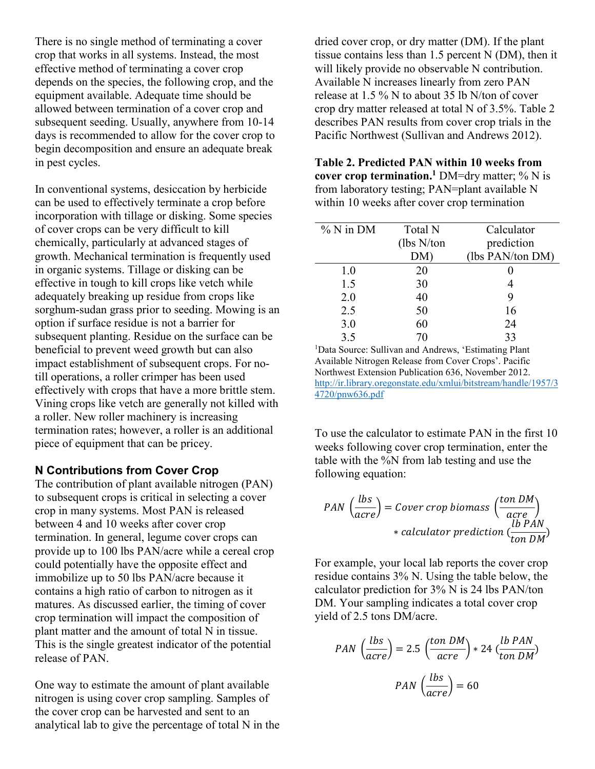There is no single method of terminating a cover crop that works in all systems. Instead, the most effective method of terminating a cover crop depends on the species, the following crop, and the equipment available. Adequate time should be allowed between termination of a cover crop and subsequent seeding. Usually, anywhere from 10-14 days is recommended to allow for the cover crop to begin decomposition and ensure an adequate break in pest cycles.

In conventional systems, desiccation by herbicide can be used to effectively terminate a crop before incorporation with tillage or disking. Some species of cover crops can be very difficult to kill chemically, particularly at advanced stages of growth. Mechanical termination is frequently used in organic systems. Tillage or disking can be effective in tough to kill crops like vetch while adequately breaking up residue from crops like sorghum-sudan grass prior to seeding. Mowing is an option if surface residue is not a barrier for subsequent planting. Residue on the surface can be beneficial to prevent weed growth but can also impact establishment of subsequent crops. For notill operations, a roller crimper has been used effectively with crops that have a more brittle stem. Vining crops like vetch are generally not killed with a roller. New roller machinery is increasing termination rates; however, a roller is an additional piece of equipment that can be pricey.

#### **N Contributions from Cover Crop**

The contribution of plant available nitrogen (PAN) to subsequent crops is critical in selecting a cover crop in many systems. Most PAN is released between 4 and 10 weeks after cover crop termination. In general, legume cover crops can provide up to 100 lbs PAN/acre while a cereal crop could potentially have the opposite effect and immobilize up to 50 lbs PAN/acre because it contains a high ratio of carbon to nitrogen as it matures. As discussed earlier, the timing of cover crop termination will impact the composition of plant matter and the amount of total N in tissue. This is the single greatest indicator of the potential release of PAN.

One way to estimate the amount of plant available nitrogen is using cover crop sampling. Samples of the cover crop can be harvested and sent to an analytical lab to give the percentage of total N in the dried cover crop, or dry matter (DM). If the plant tissue contains less than 1.5 percent N (DM), then it will likely provide no observable N contribution. Available N increases linearly from zero PAN release at 1.5 % N to about 35 lb N/ton of cover crop dry matter released at total N of 3.5%. Table 2 describes PAN results from cover crop trials in the Pacific Northwest (Sullivan and Andrews 2012).

**Table 2. Predicted PAN within 10 weeks from cover crop termination.**<sup>1</sup> DM=dry matter;  $\%$  N is from laboratory testing; PAN=plant available N within 10 weeks after cover crop termination

| $%$ N in DM | Total N     | Calculator       |
|-------------|-------------|------------------|
|             | (lbs N/ton) | prediction       |
|             | DM)         | (lbs PAN/ton DM) |
| 1.0         | 20          |                  |
| 1.5         | 30          |                  |
| 2.0         | 40          | 9                |
| 2.5         | 50          | 16               |
| 3.0         | 60          | 24               |
| 3.5         | 70          | 33               |

<sup>1</sup>Data Source: Sullivan and Andrews, 'Estimating Plant Available Nitrogen Release from Cover Crops'. Pacific Northwest Extension Publication 636, November 2012. [http://ir.library.oregonstate.edu/xmlui/bitstream/handle/1957/3](http://ir.library.oregonstate.edu/xmlui/bitstream/handle/1957/34720/pnw636.pdf) [4720/pnw636.pdf](http://ir.library.oregonstate.edu/xmlui/bitstream/handle/1957/34720/pnw636.pdf)

To use the calculator to estimate PAN in the first 10 weeks following cover crop termination, enter the table with the %N from lab testing and use the following equation:

$$
PAN \left(\frac{lbs}{acre}\right) = Cover\ crop\ biomass\left(\frac{ton\ DM}{acre}\right)
$$
  
 \* calculator prediction  $\left(\frac{lb\ PAN}{ton\ DM}\right)$ 

For example, your local lab reports the cover crop residue contains 3% N. Using the table below, the calculator prediction for 3% N is 24 lbs PAN/ton DM. Your sampling indicates a total cover crop yield of 2.5 tons DM/acre.

$$
PAN\left(\frac{lbs}{acre}\right) = 2.5\left(\frac{ton\ DM}{acre}\right) * 24\left(\frac{lb\ PAN}{ton\ DM}\right)
$$

$$
PAN\left(\frac{lbs}{acre}\right) = 60
$$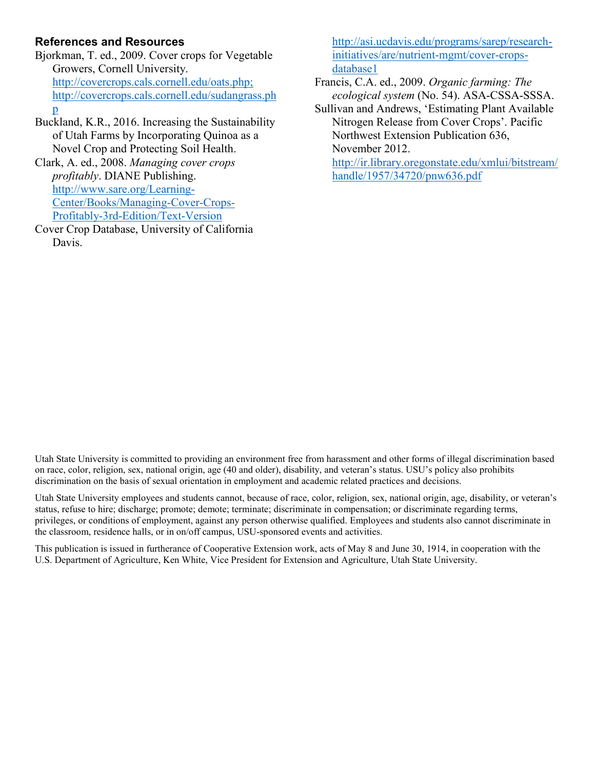#### **References and Resources**

Bjorkman, T. ed., 2009. Cover crops for Vegetable Growers, Cornell University. [http://covercrops.cals.cornell.edu/oats.php;](http://covercrops.cals.cornell.edu/oats.php) [http://covercrops.cals.cornell.edu/sudangrass.ph](http://covercrops.cals.cornell.edu/sudangrass.php) [p](http://covercrops.cals.cornell.edu/sudangrass.php)

Buckland, K.R., 2016. Increasing the Sustainability of Utah Farms by Incorporating Quinoa as a Novel Crop and Protecting Soil Health.

Clark, A. ed., 2008. *Managing cover crops profitably*. DIANE Publishing. [http://www.sare.org/Learning-](http://www.sare.org/Learning-Center/Books/Managing-Cover-Crops-Profitably-3rd-Edition/Text-Version)[Center/Books/Managing-Cover-Crops-](http://www.sare.org/Learning-Center/Books/Managing-Cover-Crops-Profitably-3rd-Edition/Text-Version)[Profitably-3rd-Edition/Text-Version](http://www.sare.org/Learning-Center/Books/Managing-Cover-Crops-Profitably-3rd-Edition/Text-Version)

Cover Crop Database, University of California Davis.

[http://asi.ucdavis.edu/programs/sarep/research](http://asi.ucdavis.edu/programs/sarep/research-initiatives/are/nutrient-mgmt/cover-crops-database1)[initiatives/are/nutrient-mgmt/cover-crops](http://asi.ucdavis.edu/programs/sarep/research-initiatives/are/nutrient-mgmt/cover-crops-database1)[database1](http://asi.ucdavis.edu/programs/sarep/research-initiatives/are/nutrient-mgmt/cover-crops-database1)

Francis, C.A. ed., 2009. *Organic farming: The ecological system* (No. 54). ASA-CSSA-SSSA.

Sullivan and Andrews, 'Estimating Plant Available Nitrogen Release from Cover Crops'. Pacific Northwest Extension Publication 636, November 2012. [http://ir.library.oregonstate.edu/xmlui/bitstream/](http://ir.library.oregonstate.edu/xmlui/bitstream/handle/1957/34720/pnw636.pdf)

[handle/1957/34720/pnw636.pdf](http://ir.library.oregonstate.edu/xmlui/bitstream/handle/1957/34720/pnw636.pdf)

Utah State University is committed to providing an environment free from harassment and other forms of illegal discrimination based on race, color, religion, sex, national origin, age (40 and older), disability, and veteran's status. USU's policy also prohibits discrimination on the basis of sexual orientation in employment and academic related practices and decisions.

Utah State University employees and students cannot, because of race, color, religion, sex, national origin, age, disability, or veteran's status, refuse to hire; discharge; promote; demote; terminate; discriminate in compensation; or discriminate regarding terms, privileges, or conditions of employment, against any person otherwise qualified. Employees and students also cannot discriminate in the classroom, residence halls, or in on/off campus, USU-sponsored events and activities.

This publication is issued in furtherance of Cooperative Extension work, acts of May 8 and June 30, 1914, in cooperation with the U.S. Department of Agriculture, Ken White, Vice President for Extension and Agriculture, Utah State University.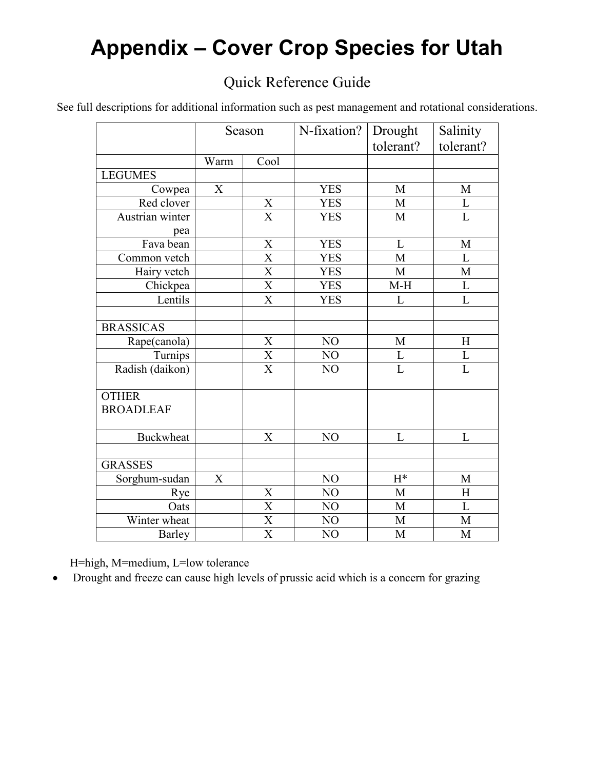# **Appendix – Cover Crop Species for Utah**

## Quick Reference Guide

See full descriptions for additional information such as pest management and rotational considerations.

|                  |      | Season                  | N-fixation?    | Drought<br>tolerant? | Salinity<br>tolerant? |
|------------------|------|-------------------------|----------------|----------------------|-----------------------|
|                  | Warm | Cool                    |                |                      |                       |
| <b>LEGUMES</b>   |      |                         |                |                      |                       |
| Cowpea           | X    |                         | <b>YES</b>     | M                    | M                     |
| Red clover       |      | $\mathbf X$             | <b>YES</b>     | M                    | $\mathbf L$           |
| Austrian winter  |      | $\overline{\mathbf{X}}$ | <b>YES</b>     | M                    | $\overline{L}$        |
| pea              |      |                         |                |                      |                       |
| Fava bean        |      | $\mathbf X$             | <b>YES</b>     | L                    | M                     |
| Common vetch     |      | $\overline{\text{X}}$   | <b>YES</b>     | M                    | L                     |
| Hairy vetch      |      | $\overline{\text{X}}$   | <b>YES</b>     | M                    | $\mathbf M$           |
| Chickpea         |      | $\overline{\text{X}}$   | <b>YES</b>     | $M-H$                | L                     |
| Lentils          |      | $\overline{\text{X}}$   | <b>YES</b>     | L                    | $\overline{L}$        |
|                  |      |                         |                |                      |                       |
| <b>BRASSICAS</b> |      |                         |                |                      |                       |
| Rape(canola)     |      | $\mathbf X$             | NO             | $\mathbf M$          | H                     |
| Turnips          |      | $\overline{\textbf{X}}$ | NO             | $\mathbf L$          | $\mathbf L$           |
| Radish (daikon)  |      | $\overline{\text{X}}$   | NO             | $\overline{L}$       | $\overline{L}$        |
| <b>OTHER</b>     |      |                         |                |                      |                       |
| <b>BROADLEAF</b> |      |                         |                |                      |                       |
|                  |      |                         |                |                      |                       |
| <b>Buckwheat</b> |      | X                       | NO             | L                    | L                     |
|                  |      |                         |                |                      |                       |
| <b>GRASSES</b>   |      |                         |                |                      |                       |
| Sorghum-sudan    | X    |                         | NO             | $H^*$                | M                     |
| Rye              |      | $\mathbf X$             | NO             | M                    | H                     |
| Oats             |      | $\overline{\text{X}}$   | NO             | M                    | L                     |
| Winter wheat     |      | $\overline{\text{X}}$   | NO             | M                    | M                     |
| Barley           |      | X                       | N <sub>O</sub> | M                    | M                     |

H=high, M=medium, L=low tolerance

• Drought and freeze can cause high levels of prussic acid which is a concern for grazing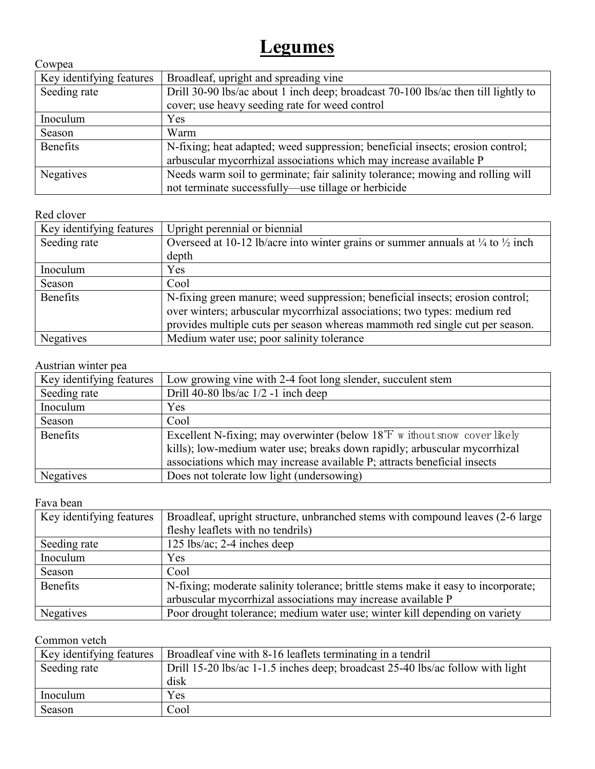## **Legumes**

| Cowpea                   |                                                                                    |
|--------------------------|------------------------------------------------------------------------------------|
| Key identifying features | Broadleaf, upright and spreading vine                                              |
| Seeding rate             | Drill 30-90 lbs/ac about 1 inch deep; broadcast 70-100 lbs/ac then till lightly to |
|                          | cover; use heavy seeding rate for weed control                                     |
| Inoculum                 | <b>Yes</b>                                                                         |
| Season                   | Warm                                                                               |
| <b>Benefits</b>          | N-fixing; heat adapted; weed suppression; beneficial insects; erosion control;     |
|                          | arbuscular mycorrhizal associations which may increase available P                 |
| Negatives                | Needs warm soil to germinate; fair salinity tolerance; mowing and rolling will     |
|                          | not terminate successfully—use tillage or herbicide                                |

#### Red clover

| Key identifying features | Upright perennial or biennial                                                                         |
|--------------------------|-------------------------------------------------------------------------------------------------------|
| Seeding rate             | Overseed at 10-12 lb/acre into winter grains or summer annuals at $\frac{1}{4}$ to $\frac{1}{2}$ inch |
|                          | depth                                                                                                 |
| Inoculum                 | Yes                                                                                                   |
| Season                   | Cool                                                                                                  |
| Benefits                 | N-fixing green manure; weed suppression; beneficial insects; erosion control;                         |
|                          | over winters; arbuscular mycorrhizal associations; two types: medium red                              |
|                          | provides multiple cuts per season whereas mammoth red single cut per season.                          |
| <b>Negatives</b>         | Medium water use; poor salinity tolerance                                                             |

## Austrian winter pea

| Key identifying features | Low growing vine with 2-4 foot long slender, succulent stem                         |
|--------------------------|-------------------------------------------------------------------------------------|
| Seeding rate             | Drill 40-80 lbs/ac $1/2$ -1 inch deep                                               |
| Inoculum                 | Yes                                                                                 |
| Season                   | Cool                                                                                |
| <b>Benefits</b>          | Excellent N-fixing; may overwinter (below $18^{\circ}$ F w ithout snow cover likely |
|                          | kills); low-medium water use; breaks down rapidly; arbuscular mycorrhizal           |
|                          | associations which may increase available P; attracts beneficial insects            |
| Negatives                | Does not tolerate low light (undersowing)                                           |

#### Fava bean

| Key identifying features | Broadleaf, upright structure, unbranched stems with compound leaves (2-6 large    |  |  |
|--------------------------|-----------------------------------------------------------------------------------|--|--|
|                          | fleshy leaflets with no tendrils)                                                 |  |  |
| Seeding rate             | $125$ lbs/ac; 2-4 inches deep                                                     |  |  |
| Inoculum                 | Yes                                                                               |  |  |
| Season                   | Cool                                                                              |  |  |
| <b>Benefits</b>          | N-fixing; moderate salinity tolerance; brittle stems make it easy to incorporate; |  |  |
|                          | arbuscular mycorrhizal associations may increase available P                      |  |  |
| Negatives                | Poor drought tolerance; medium water use; winter kill depending on variety        |  |  |

#### Common vetch

| Key identifying features | Broadleaf vine with 8-16 leaflets terminating in a tendril                     |
|--------------------------|--------------------------------------------------------------------------------|
| Seeding rate             | Drill 15-20 lbs/ac 1-1.5 inches deep; broadcast 25-40 lbs/ac follow with light |
|                          | disk                                                                           |
| Inoculum                 | Yes                                                                            |
| Season                   | Cool                                                                           |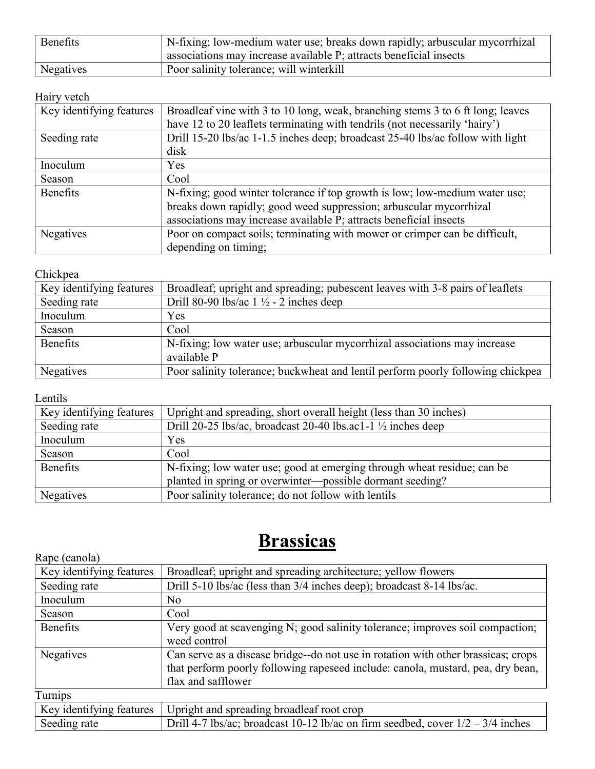| Benefits  | N-fixing; low-medium water use; breaks down rapidly; arbuscular mycorrhizal |
|-----------|-----------------------------------------------------------------------------|
|           | ' associations may increase available P; attracts beneficial insects        |
| Negatives | Poor salinity tolerance; will winterkill                                    |

#### Hairy vetch

| Key identifying features | Broadleaf vine with 3 to 10 long, weak, branching stems 3 to 6 ft long; leaves<br>have 12 to 20 leaflets terminating with tendrils (not necessarily 'hairy')                                                            |
|--------------------------|-------------------------------------------------------------------------------------------------------------------------------------------------------------------------------------------------------------------------|
| Seeding rate             | Drill 15-20 lbs/ac 1-1.5 inches deep; broadcast 25-40 lbs/ac follow with light<br>disk                                                                                                                                  |
| Inoculum                 | Yes                                                                                                                                                                                                                     |
| Season                   | Cool                                                                                                                                                                                                                    |
| Benefits                 | N-fixing; good winter tolerance if top growth is low; low-medium water use;<br>breaks down rapidly; good weed suppression; arbuscular mycorrhizal<br>associations may increase available P; attracts beneficial insects |
| Negatives                | Poor on compact soils; terminating with mower or crimper can be difficult,<br>depending on timing;                                                                                                                      |

#### Chickpea

| Key identifying features | Broadleaf; upright and spreading; pubescent leaves with 3-8 pairs of leaflets            |
|--------------------------|------------------------------------------------------------------------------------------|
| Seeding rate             | Drill 80-90 lbs/ac $1\frac{1}{2}$ - 2 inches deep                                        |
| Inoculum                 | Yes                                                                                      |
| Season                   | Cool                                                                                     |
| <b>Benefits</b>          | N-fixing; low water use; arbuscular mycorrhizal associations may increase<br>available P |
| Negatives                | Poor salinity tolerance; buckwheat and lentil perform poorly following chickpea          |

Lentils

| Key identifying features | Upright and spreading, short overall height (less than 30 inches)       |
|--------------------------|-------------------------------------------------------------------------|
| Seeding rate             | Drill 20-25 lbs/ac, broadcast 20-40 lbs.ac1-1 $\frac{1}{2}$ inches deep |
| Inoculum                 | Yes                                                                     |
| Season                   | Cool                                                                    |
| Benefits                 | N-fixing; low water use; good at emerging through wheat residue; can be |
|                          | planted in spring or overwinter-possible dormant seeding?               |
| Negatives                | Poor salinity tolerance; do not follow with lentils                     |

## **Brassicas**

| Rape (canola)            |                                                                                   |
|--------------------------|-----------------------------------------------------------------------------------|
| Key identifying features | Broadleaf; upright and spreading architecture; yellow flowers                     |
| Seeding rate             | Drill 5-10 lbs/ac (less than 3/4 inches deep); broadcast 8-14 lbs/ac.             |
| Inoculum                 | No                                                                                |
| Season                   | Cool                                                                              |
| <b>Benefits</b>          | Very good at scavenging N; good salinity tolerance; improves soil compaction;     |
|                          | weed control                                                                      |
| Negatives                | Can serve as a disease bridge--do not use in rotation with other brassicas; crops |
|                          | that perform poorly following rapeseed include: canola, mustard, pea, dry bean,   |
|                          | flax and safflower                                                                |
| Turnips                  |                                                                                   |
| Key identifying features | Upright and spreading broadleaf root crop                                         |
| Seeding rate             | Drill 4-7 lbs/ac; broadcast 10-12 lb/ac on firm seedbed, cover $1/2 - 3/4$ inches |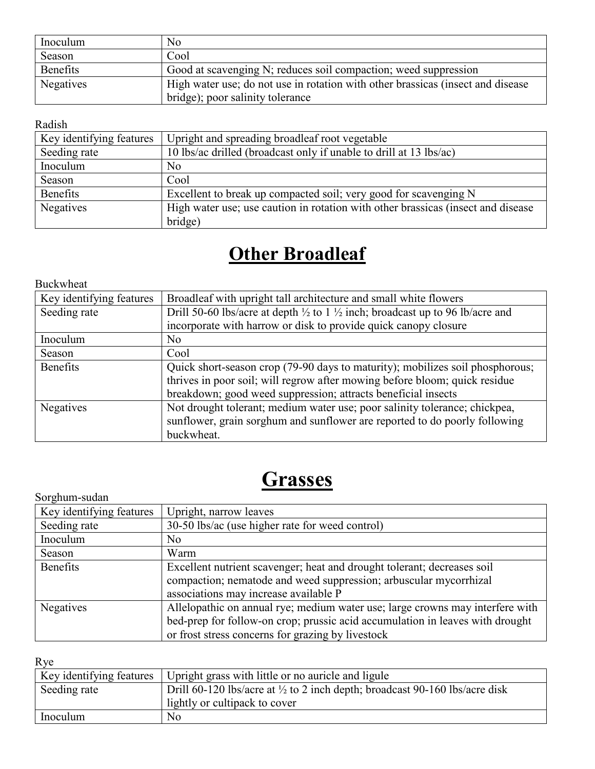| Inoculum  | No                                                                              |
|-----------|---------------------------------------------------------------------------------|
| Season    | Cool                                                                            |
| Benefits  | Good at scavenging N; reduces soil compaction; weed suppression                 |
| Negatives | High water use; do not use in rotation with other brassicas (insect and disease |
|           | bridge); poor salinity tolerance                                                |

#### Radish

| Key identifying features | Upright and spreading broadleaf root vegetable                                   |
|--------------------------|----------------------------------------------------------------------------------|
| Seeding rate             | 10 lbs/ac drilled (broadcast only if unable to drill at 13 lbs/ac)               |
| Inoculum                 | No                                                                               |
| Season                   | Cool                                                                             |
| Benefits                 | Excellent to break up compacted soil; very good for scavenging N                 |
| Negatives                | High water use; use caution in rotation with other brassicas (insect and disease |
|                          | bridge)                                                                          |

# **Other Broadleaf**

Buckwheat

| Key identifying features | Broadleaf with upright tall architecture and small white flowers                                    |
|--------------------------|-----------------------------------------------------------------------------------------------------|
| Seeding rate             | Drill 50-60 lbs/acre at depth $\frac{1}{2}$ to 1 $\frac{1}{2}$ inch; broadcast up to 96 lb/acre and |
|                          | incorporate with harrow or disk to provide quick canopy closure                                     |
| Inoculum                 | N <sub>o</sub>                                                                                      |
| Season                   | Cool                                                                                                |
| <b>Benefits</b>          | Quick short-season crop (79-90 days to maturity); mobilizes soil phosphorous;                       |
|                          | thrives in poor soil; will regrow after mowing before bloom; quick residue                          |
|                          | breakdown; good weed suppression; attracts beneficial insects                                       |
| Negatives                | Not drought tolerant; medium water use; poor salinity tolerance; chickpea,                          |
|                          | sunflower, grain sorghum and sunflower are reported to do poorly following                          |
|                          | buckwheat.                                                                                          |

# **Grasses**

| Sorghum-sudan            |                                                                                                                                                                                                                     |
|--------------------------|---------------------------------------------------------------------------------------------------------------------------------------------------------------------------------------------------------------------|
| Key identifying features | Upright, narrow leaves                                                                                                                                                                                              |
| Seeding rate             | 30-50 lbs/ac (use higher rate for weed control)                                                                                                                                                                     |
| Inoculum                 | No                                                                                                                                                                                                                  |
| Season                   | Warm                                                                                                                                                                                                                |
| Benefits                 | Excellent nutrient scavenger; heat and drought tolerant; decreases soil<br>compaction; nematode and weed suppression; arbuscular mycorrhizal<br>associations may increase available P                               |
| Negatives                | Allelopathic on annual rye; medium water use; large crowns may interfere with<br>bed-prep for follow-on crop; prussic acid accumulation in leaves with drought<br>or frost stress concerns for grazing by livestock |

Rye

| Key identifying features | Upright grass with little or no auricle and ligule                                     |
|--------------------------|----------------------------------------------------------------------------------------|
| Seeding rate             | Drill 60-120 lbs/acre at $\frac{1}{2}$ to 2 inch depth; broadcast 90-160 lbs/acre disk |
|                          | lightly or cultipack to cover                                                          |
| Inoculum                 | No                                                                                     |